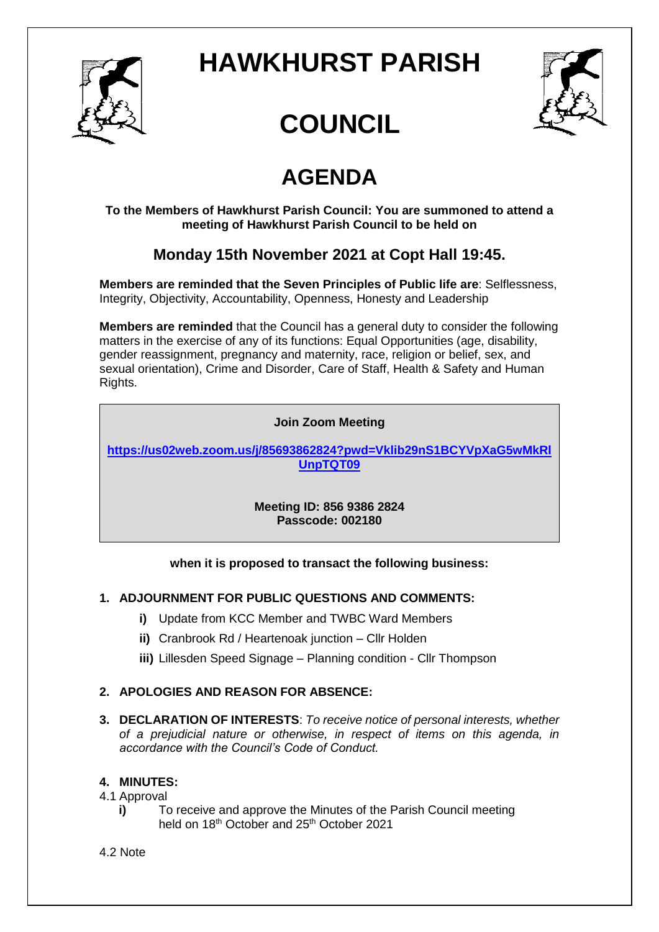

## **HAWKHURST PARISH**



# **COUNCIL**

## **AGENDA**

**To the Members of Hawkhurst Parish Council: You are summoned to attend a meeting of Hawkhurst Parish Council to be held on**

### **Monday 15th November 2021 at Copt Hall 19:45.**

**Members are reminded that the Seven Principles of Public life are**: Selflessness, Integrity, Objectivity, Accountability, Openness, Honesty and Leadership

**Members are reminded** that the Council has a general duty to consider the following matters in the exercise of any of its functions: Equal Opportunities (age, disability, gender reassignment, pregnancy and maternity, race, religion or belief, sex, and sexual orientation), Crime and Disorder, Care of Staff, Health & Safety and Human Rights.

#### **Join Zoom Meeting**

**[https://us02web.zoom.us/j/85693862824?pwd=Vklib29nS1BCYVpXaG5wMkRl](https://us02web.zoom.us/j/85693862824?pwd=Vklib29nS1BCYVpXaG5wMkRlUnpTQT09) [UnpTQT09](https://us02web.zoom.us/j/85693862824?pwd=Vklib29nS1BCYVpXaG5wMkRlUnpTQT09)**

> **Meeting ID: 856 9386 2824 Passcode: 002180**

#### **when it is proposed to transact the following business:**

#### **1. ADJOURNMENT FOR PUBLIC QUESTIONS AND COMMENTS:**

- **i)** Update from KCC Member and TWBC Ward Members
- **ii)** Cranbrook Rd / Heartenoak junction Cllr Holden
- **iii)** Lillesden Speed Signage Planning condition Cllr Thompson

#### **2. APOLOGIES AND REASON FOR ABSENCE:**

**3. DECLARATION OF INTERESTS**: *To receive notice of personal interests, whether of a prejudicial nature or otherwise, in respect of items on this agenda, in accordance with the Council's Code of Conduct.*

#### **4. MINUTES:**

#### 4.1 Approval

**i)** To receive and approve the Minutes of the Parish Council meeting held on 18<sup>th</sup> October and 25<sup>th</sup> October 2021

#### 4.2 Note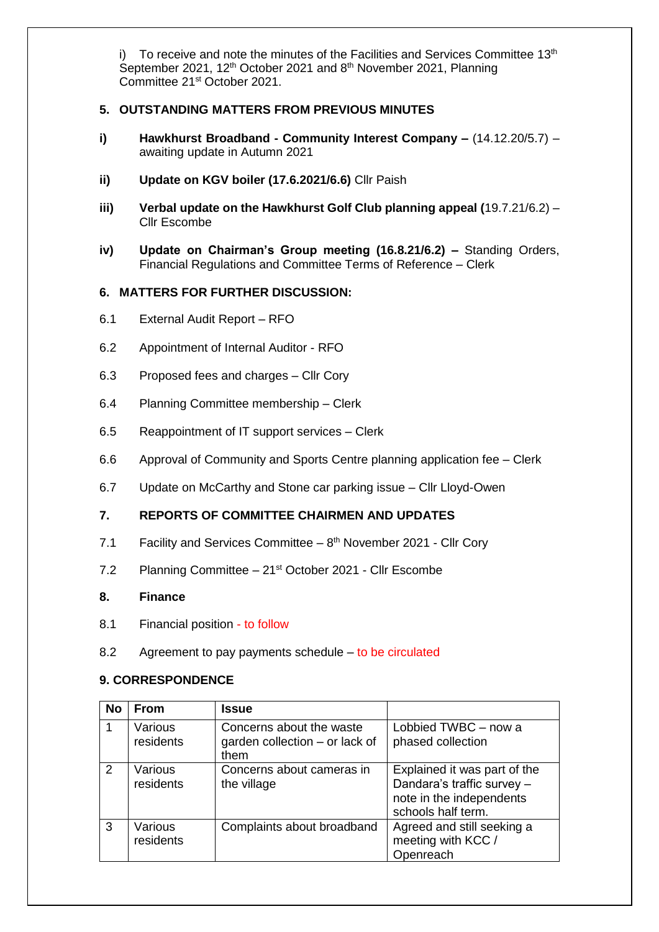i) To receive and note the minutes of the Facilities and Services Committee 13<sup>th</sup> September 2021, 12<sup>th</sup> October 2021 and 8<sup>th</sup> November 2021, Planning Committee 21st October 2021.

#### **5. OUTSTANDING MATTERS FROM PREVIOUS MINUTES**

- **i) Hawkhurst Broadband - Community Interest Company –** (14.12.20/5.7) awaiting update in Autumn 2021
- **ii) Update on KGV boiler (17.6.2021/6.6)** Cllr Paish
- **iii) Verbal update on the Hawkhurst Golf Club planning appeal (**19.7.21/6.2) Cllr Escombe
- **iv) Update on Chairman's Group meeting (16.8.21/6.2) –** Standing Orders, Financial Regulations and Committee Terms of Reference – Clerk

#### **6. MATTERS FOR FURTHER DISCUSSION:**

- 6.1 External Audit Report RFO
- 6.2 Appointment of Internal Auditor RFO
- 6.3 Proposed fees and charges Cllr Cory
- 6.4 Planning Committee membership Clerk
- 6.5 Reappointment of IT support services Clerk
- 6.6 Approval of Community and Sports Centre planning application fee Clerk
- 6.7 Update on McCarthy and Stone car parking issue Cllr Lloyd-Owen

#### **7. REPORTS OF COMMITTEE CHAIRMEN AND UPDATES**

- 7.1 Facility and Services Committee  $-8<sup>th</sup>$  November 2021 Cllr Cory
- 7.2 Planning Committee 21<sup>st</sup> October 2021 Cllr Escombe

#### **8. Finance**

- 8.1 Financial position to follow
- 8.2 Agreement to pay payments schedule to be circulated

#### **9. CORRESPONDENCE**

| <b>No</b> | <b>From</b>          | <b>Issue</b>                                                       |                                                                                                              |
|-----------|----------------------|--------------------------------------------------------------------|--------------------------------------------------------------------------------------------------------------|
|           | Various<br>residents | Concerns about the waste<br>garden collection - or lack of<br>them | Lobbied TWBC - now a<br>phased collection                                                                    |
| 2         | Various<br>residents | Concerns about cameras in<br>the village                           | Explained it was part of the<br>Dandara's traffic survey -<br>note in the independents<br>schools half term. |
| 3         | Various<br>residents | Complaints about broadband                                         | Agreed and still seeking a<br>meeting with KCC /<br>Openreach                                                |